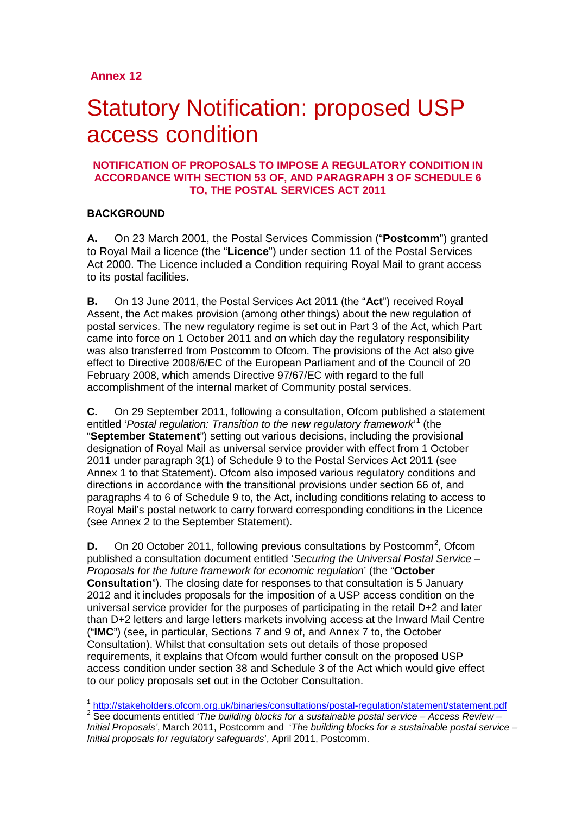# Statutory Notification: proposed USP access condition

# **NOTIFICATION OF PROPOSALS TO IMPOSE A REGULATORY CONDITION IN ACCORDANCE WITH SECTION 53 OF, AND PARAGRAPH 3 OF SCHEDULE 6 TO, THE POSTAL SERVICES ACT 2011**

# **BACKGROUND**

**A.** On 23 March 2001, the Postal Services Commission ("**Postcomm**") granted to Royal Mail a licence (the "**Licence**") under section 11 of the Postal Services Act 2000. The Licence included a Condition requiring Royal Mail to grant access to its postal facilities.

**B.** On 13 June 2011, the Postal Services Act 2011 (the "**Act**") received Royal Assent, the Act makes provision (among other things) about the new regulation of postal services. The new regulatory regime is set out in Part 3 of the Act, which Part came into force on 1 October 2011 and on which day the regulatory responsibility was also transferred from Postcomm to Ofcom. The provisions of the Act also give effect to Directive 2008/6/EC of the European Parliament and of the Council of 20 February 2008, which amends Directive 97/67/EC with regard to the full accomplishment of the internal market of Community postal services.

**C.** On 29 September 2011, following a consultation, Ofcom published a statement entitled '*Postal regulation: Transition to the new regulatory framework*' [1](#page-0-0) (the "**September Statement**") setting out various decisions, including the provisional designation of Royal Mail as universal service provider with effect from 1 October 2011 under paragraph 3(1) of Schedule 9 to the Postal Services Act 2011 (see Annex 1 to that Statement). Ofcom also imposed various regulatory conditions and directions in accordance with the transitional provisions under section 66 of, and paragraphs 4 to 6 of Schedule 9 to, the Act, including conditions relating to access to Royal Mail's postal network to carry forward corresponding conditions in the Licence (see Annex 2 to the September Statement).

**D.** On [2](#page-0-1)0 October 2011, following previous consultations by Postcomm<sup>2</sup>, Ofcom published a consultation document entitled '*Securing the Universal Postal Service – Proposals for the future framework for economic regulation*' (the "**October Consultation**"). The closing date for responses to that consultation is 5 January 2012 and it includes proposals for the imposition of a USP access condition on the universal service provider for the purposes of participating in the retail D+2 and later than D+2 letters and large letters markets involving access at the Inward Mail Centre ("**IMC**") (see, in particular, Sections 7 and 9 of, and Annex 7 to, the October Consultation). Whilst that consultation sets out details of those proposed requirements, it explains that Ofcom would further consult on the proposed USP access condition under section 38 and Schedule 3 of the Act which would give effect to our policy proposals set out in the October Consultation.

<span id="page-0-0"></span><sup>&</sup>lt;sup>1</sup> http://stakeholders.ofcom.org.uk/binaries/consultations/postal-regulation/statement/statement.pdf

<span id="page-0-1"></span><sup>&</sup>lt;sup>2</sup> See documents entitled '*The building blocks for a sustainable postal service – Access Review – Initial Proposals'*, March 2011, Postcomm and '*The building blocks for a sustainable postal service – Initial proposals for regulatory safeguards*', April 2011, Postcomm.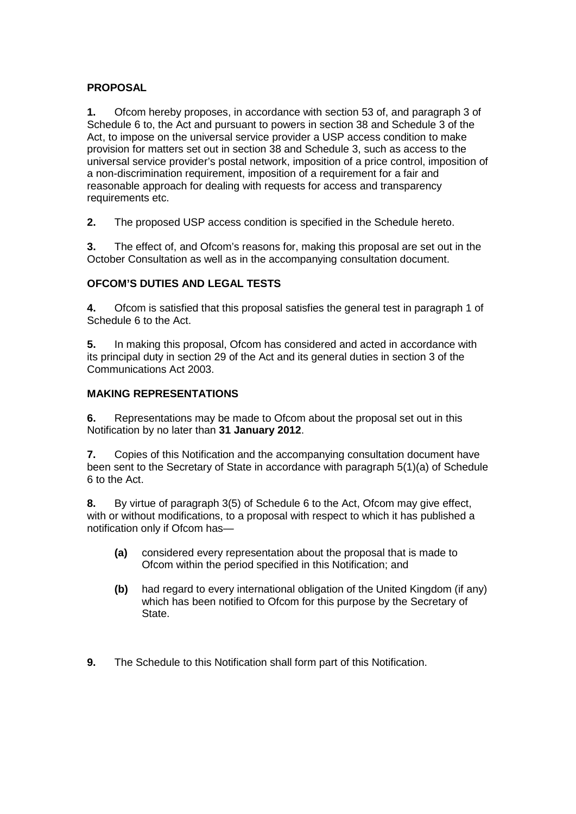# **PROPOSAL**

**1.** Ofcom hereby proposes, in accordance with section 53 of, and paragraph 3 of Schedule 6 to, the Act and pursuant to powers in section 38 and Schedule 3 of the Act, to impose on the universal service provider a USP access condition to make provision for matters set out in section 38 and Schedule 3, such as access to the universal service provider's postal network, imposition of a price control, imposition of a non-discrimination requirement, imposition of a requirement for a fair and reasonable approach for dealing with requests for access and transparency requirements etc.

**2.** The proposed USP access condition is specified in the Schedule hereto.

**3.** The effect of, and Ofcom's reasons for, making this proposal are set out in the October Consultation as well as in the accompanying consultation document.

# **OFCOM'S DUTIES AND LEGAL TESTS**

**4.** Ofcom is satisfied that this proposal satisfies the general test in paragraph 1 of Schedule 6 to the Act.

**5.** In making this proposal, Ofcom has considered and acted in accordance with its principal duty in section 29 of the Act and its general duties in section 3 of the Communications Act 2003.

# **MAKING REPRESENTATIONS**

**6.** Representations may be made to Ofcom about the proposal set out in this Notification by no later than **31 January 2012**.

**7.** Copies of this Notification and the accompanying consultation document have been sent to the Secretary of State in accordance with paragraph 5(1)(a) of Schedule 6 to the Act.

**8.** By virtue of paragraph 3(5) of Schedule 6 to the Act, Ofcom may give effect, with or without modifications, to a proposal with respect to which it has published a notification only if Ofcom has—

- **(a)** considered every representation about the proposal that is made to Ofcom within the period specified in this Notification; and
- **(b)** had regard to every international obligation of the United Kingdom (if any) which has been notified to Ofcom for this purpose by the Secretary of State.
- **9.** The Schedule to this Notification shall form part of this Notification.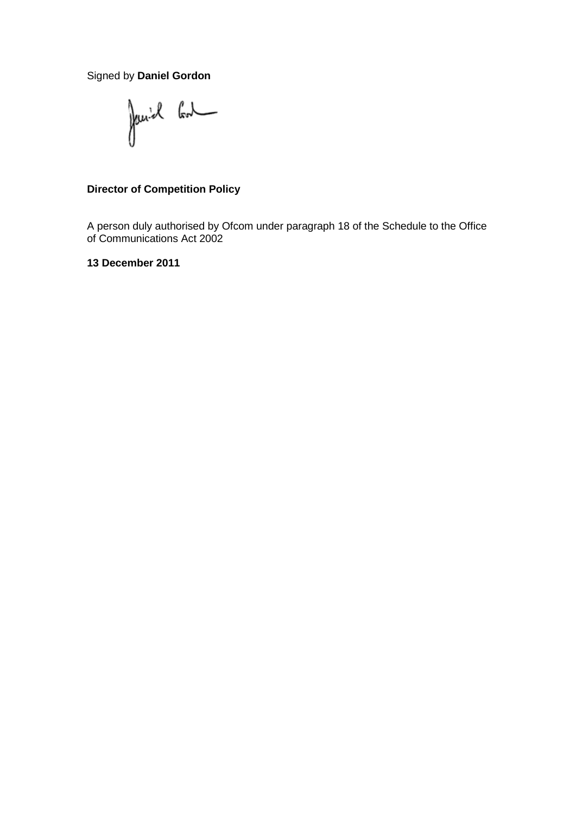Signed by **Daniel Gordon**

Janiel Cont

# **Director of Competition Policy**

A person duly authorised by Ofcom under paragraph 18 of the Schedule to the Office of Communications Act 2002

**13 December 2011**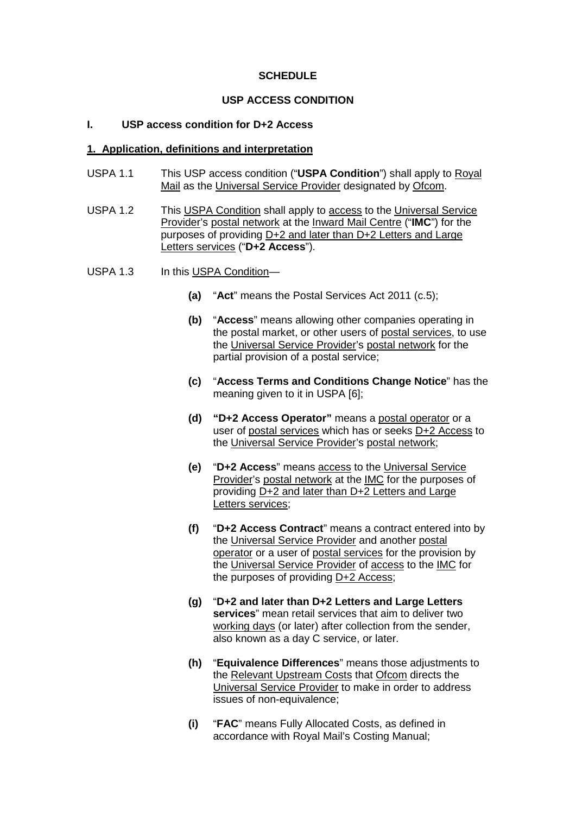# **SCHEDULE**

#### **USP ACCESS CONDITION**

# **I. USP access condition for D+2 Access**

#### **1. Application, definitions and interpretation**

- USPA 1.1 This USP access condition ("**USPA Condition**") shall apply to Royal Mail as the Universal Service Provider designated by Ofcom.
- USPA 1.2 This USPA Condition shall apply to access to the Universal Service Provider's postal network at the Inward Mail Centre ("**IMC**") for the purposes of providing D+2 and later than D+2 Letters and Large Letters services ("**D+2 Access**").
- USPA 1.3 In this USPA Condition—
	- **(a)** "**Act**" means the Postal Services Act 2011 (c.5);
	- **(b)** "**Access**" means allowing other companies operating in the postal market, or other users of postal services, to use the Universal Service Provider's postal network for the partial provision of a postal service;
	- **(c)** "**Access Terms and Conditions Change Notice**" has the meaning given to it in USPA [6];
	- **(d) "D+2 Access Operator"** means a postal operator or a user of postal services which has or seeks D+2 Access to the Universal Service Provider's postal network;
	- **(e)** "**D+2 Access**" means access to the Universal Service Provider's postal network at the IMC for the purposes of providing D+2 and later than D+2 Letters and Large Letters services;
	- **(f)** "**D+2 Access Contract**" means a contract entered into by the Universal Service Provider and another postal operator or a user of postal services for the provision by the Universal Service Provider of access to the IMC for the purposes of providing D+2 Access;
	- **(g)** "**D+2 and later than D+2 Letters and Large Letters services**" mean retail services that aim to deliver two working days (or later) after collection from the sender, also known as a day C service, or later.
	- **(h)** "**Equivalence Differences**" means those adjustments to the Relevant Upstream Costs that Ofcom directs the Universal Service Provider to make in order to address issues of non-equivalence;
	- **(i)** "**FAC**" means Fully Allocated Costs, as defined in accordance with Royal Mail's Costing Manual;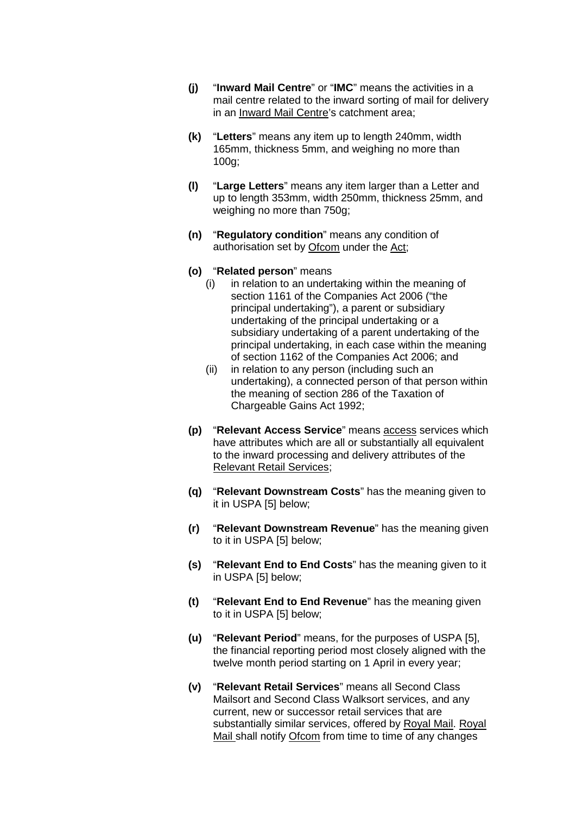- **(j)** "**Inward Mail Centre**" or "**IMC**" means the activities in a mail centre related to the inward sorting of mail for delivery in an Inward Mail Centre's catchment area;
- **(k)** "**Letters**" means any item up to length 240mm, width 165mm, thickness 5mm, and weighing no more than 100g;
- **(l)** "**Large Letters**" means any item larger than a Letter and up to length 353mm, width 250mm, thickness 25mm, and weighing no more than 750g;
- **(n)** "**Regulatory condition**" means any condition of authorisation set by Ofcom under the Act;

#### **(o)** "**Related person**" means

- (i) in relation to an undertaking within the meaning of section 1161 of the Companies Act 2006 ("the principal undertaking"), a parent or subsidiary undertaking of the principal undertaking or a subsidiary undertaking of a parent undertaking of the principal undertaking, in each case within the meaning of section 1162 of the Companies Act 2006; and
- (ii) in relation to any person (including such an undertaking), a connected person of that person within the meaning of section 286 of the Taxation of Chargeable Gains Act 1992;
- **(p)** "**Relevant Access Service**" means access services which have attributes which are all or substantially all equivalent to the inward processing and delivery attributes of the Relevant Retail Services;
- **(q)** "**Relevant Downstream Costs**" has the meaning given to it in USPA [5] below;
- **(r)** "**Relevant Downstream Revenue**" has the meaning given to it in USPA [5] below;
- **(s)** "**Relevant End to End Costs**" has the meaning given to it in USPA [5] below;
- **(t)** "**Relevant End to End Revenue**" has the meaning given to it in USPA [5] below;
- **(u)** "**Relevant Period**" means, for the purposes of USPA [5], the financial reporting period most closely aligned with the twelve month period starting on 1 April in every year;
- **(v)** "**Relevant Retail Services**" means all Second Class Mailsort and Second Class Walksort services, and any current, new or successor retail services that are substantially similar services, offered by Royal Mail. Royal Mail shall notify Ofcom from time to time of any changes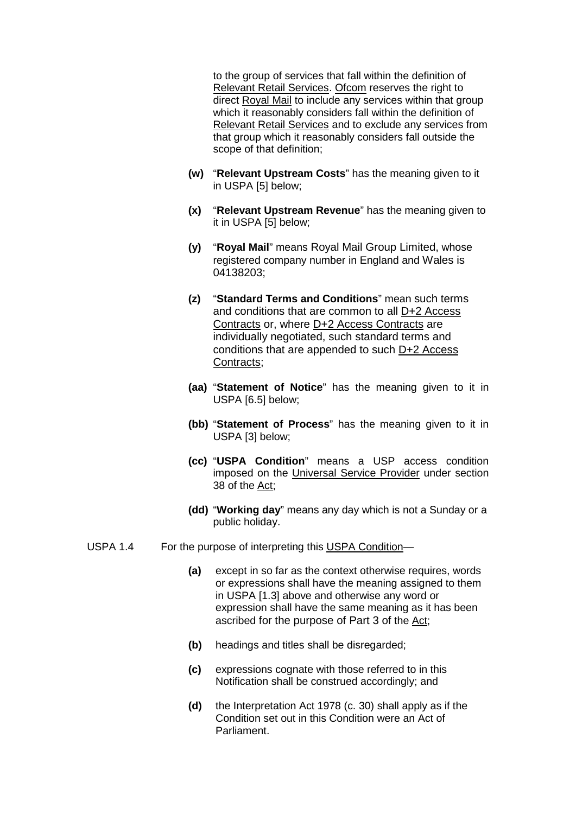to the group of services that fall within the definition of Relevant Retail Services. Ofcom reserves the right to direct Royal Mail to include any services within that group which it reasonably considers fall within the definition of Relevant Retail Services and to exclude any services from that group which it reasonably considers fall outside the scope of that definition;

- **(w)** "**Relevant Upstream Costs**" has the meaning given to it in USPA [5] below;
- **(x)** "**Relevant Upstream Revenue**" has the meaning given to it in USPA [5] below;
- **(y)** "**Royal Mail**" means Royal Mail Group Limited, whose registered company number in England and Wales is 04138203;
- **(z)** "**Standard Terms and Conditions**" mean such terms and conditions that are common to all D+2 Access Contracts or, where D+2 Access Contracts are individually negotiated, such standard terms and conditions that are appended to such D+2 Access Contracts;
- **(aa)** "**Statement of Notice**" has the meaning given to it in USPA [6.5] below;
- **(bb)** "**Statement of Process**" has the meaning given to it in USPA [3] below;
- **(cc)** "**USPA Condition**" means a USP access condition imposed on the Universal Service Provider under section 38 of the Act;
- **(dd)** "**Working day**" means any day which is not a Sunday or a public holiday.
- USPA 1.4 For the purpose of interpreting this USPA Condition—
	- **(a)** except in so far as the context otherwise requires, words or expressions shall have the meaning assigned to them in USPA [1.3] above and otherwise any word or expression shall have the same meaning as it has been ascribed for the purpose of Part 3 of the Act;
	- **(b)** headings and titles shall be disregarded;
	- **(c)** expressions cognate with those referred to in this Notification shall be construed accordingly; and
	- **(d)** the Interpretation Act 1978 (c. 30) shall apply as if the Condition set out in this Condition were an Act of Parliament.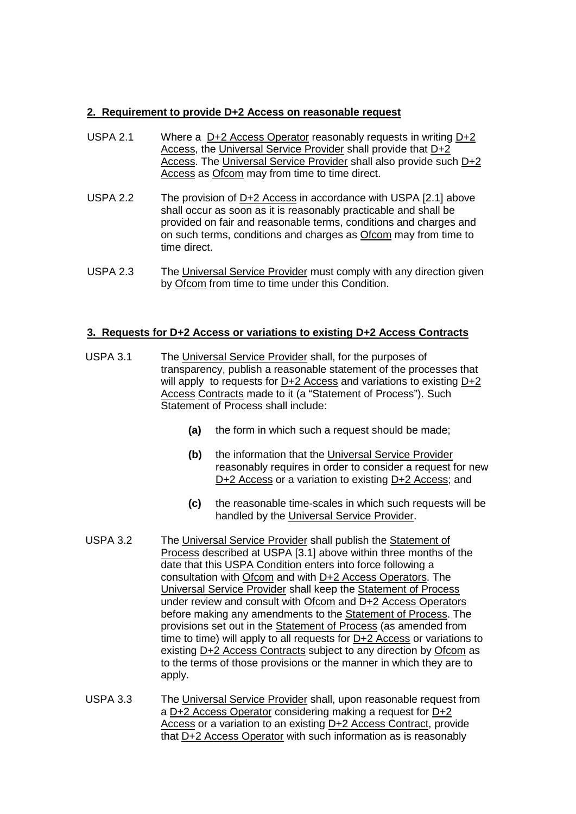# **2. Requirement to provide D+2 Access on reasonable request**

- USPA 2.1 Where a D+2 Access Operator reasonably requests in writing D+2 Access, the Universal Service Provider shall provide that D+2 Access. The Universal Service Provider shall also provide such D+2 Access as Ofcom may from time to time direct.
- USPA 2.2 The provision of D+2 Access in accordance with USPA [2.1] above shall occur as soon as it is reasonably practicable and shall be provided on fair and reasonable terms, conditions and charges and on such terms, conditions and charges as Ofcom may from time to time direct.
- USPA 2.3 The Universal Service Provider must comply with any direction given by Ofcom from time to time under this Condition.

# **3. Requests for D+2 Access or variations to existing D+2 Access Contracts**

- USPA 3.1 The Universal Service Provider shall, for the purposes of transparency, publish a reasonable statement of the processes that will apply to requests for D+2 Access and variations to existing D+2 Access Contracts made to it (a "Statement of Process"). Such Statement of Process shall include:
	- **(a)** the form in which such a request should be made;
	- **(b)** the information that the Universal Service Provider reasonably requires in order to consider a request for new D+2 Access or a variation to existing D+2 Access; and
	- **(c)** the reasonable time-scales in which such requests will be handled by the Universal Service Provider.
- USPA 3.2 The Universal Service Provider shall publish the Statement of Process described at USPA [3.1] above within three months of the date that this USPA Condition enters into force following a consultation with Ofcom and with D+2 Access Operators. The Universal Service Provider shall keep the Statement of Process under review and consult with Ofcom and D+2 Access Operators before making any amendments to the Statement of Process. The provisions set out in the Statement of Process (as amended from time to time) will apply to all requests for  $D+2$  Access or variations to existing D+2 Access Contracts subject to any direction by Ofcom as to the terms of those provisions or the manner in which they are to apply.
- USPA 3.3 The Universal Service Provider shall, upon reasonable request from a D+2 Access Operator considering making a request for D+2 Access or a variation to an existing D+2 Access Contract, provide that D+2 Access Operator with such information as is reasonably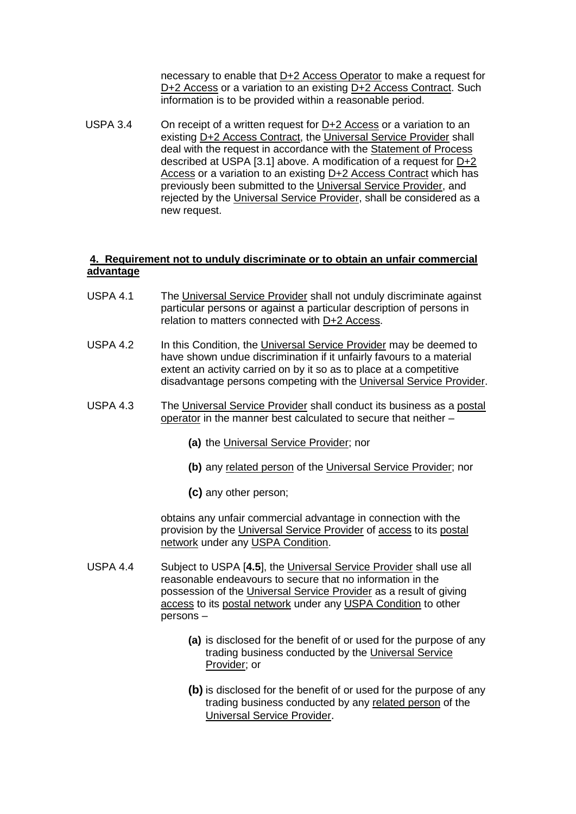necessary to enable that D+2 Access Operator to make a request for D+2 Access or a variation to an existing D+2 Access Contract. Such information is to be provided within a reasonable period.

USPA 3.4 On receipt of a written request for D+2 Access or a variation to an existing D+2 Access Contract, the Universal Service Provider shall deal with the request in accordance with the Statement of Process described at USPA [3.1] above. A modification of a request for D+2 Access or a variation to an existing D+2 Access Contract which has previously been submitted to the Universal Service Provider, and rejected by the Universal Service Provider, shall be considered as a new request.

# **4. Requirement not to unduly discriminate or to obtain an unfair commercial advantage**

- USPA 4.1 The Universal Service Provider shall not unduly discriminate against particular persons or against a particular description of persons in relation to matters connected with D+2 Access.
- USPA 4.2 In this Condition, the Universal Service Provider may be deemed to have shown undue discrimination if it unfairly favours to a material extent an activity carried on by it so as to place at a competitive disadvantage persons competing with the Universal Service Provider.
- USPA 4.3 The Universal Service Provider shall conduct its business as a postal operator in the manner best calculated to secure that neither –
	- **(a)** the Universal Service Provider; nor
	- **(b)** any related person of the Universal Service Provider; nor
	- **(c)** any other person;

obtains any unfair commercial advantage in connection with the provision by the Universal Service Provider of access to its postal network under any USPA Condition.

- USPA 4.4 Subject to USPA [**4.5**], the Universal Service Provider shall use all reasonable endeavours to secure that no information in the possession of the Universal Service Provider as a result of giving access to its postal network under any USPA Condition to other persons –
	- **(a)** is disclosed for the benefit of or used for the purpose of any trading business conducted by the Universal Service Provider; or
	- **(b)** is disclosed for the benefit of or used for the purpose of any trading business conducted by any related person of the Universal Service Provider.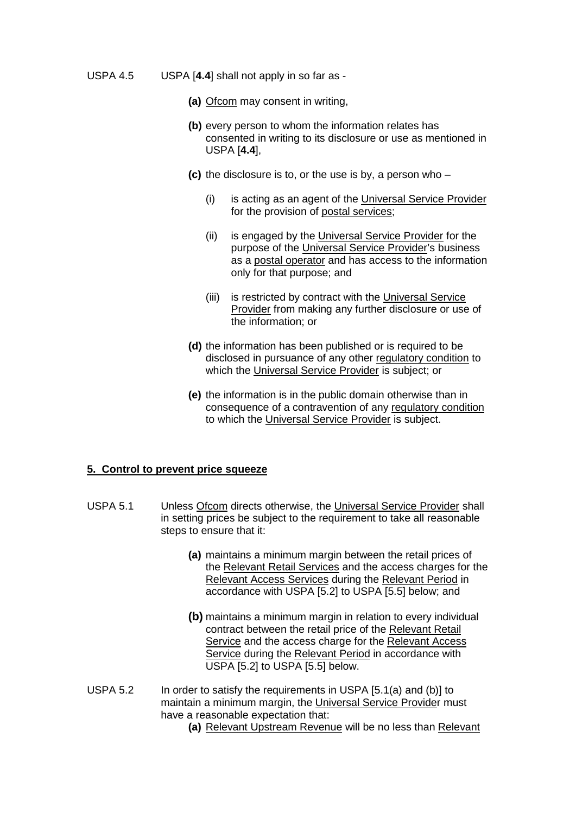- USPA 4.5 USPA [**4.4**] shall not apply in so far as
	- **(a)** Ofcom may consent in writing,
	- **(b)** every person to whom the information relates has consented in writing to its disclosure or use as mentioned in USPA [**4.4**],
	- **(c)** the disclosure is to, or the use is by, a person who
		- (i) is acting as an agent of the Universal Service Provider for the provision of postal services;
		- (ii) is engaged by the Universal Service Provider for the purpose of the Universal Service Provider's business as a postal operator and has access to the information only for that purpose; and
		- (iii) is restricted by contract with the Universal Service Provider from making any further disclosure or use of the information; or
	- **(d)** the information has been published or is required to be disclosed in pursuance of any other regulatory condition to which the Universal Service Provider is subject; or
	- **(e)** the information is in the public domain otherwise than in consequence of a contravention of any regulatory condition to which the Universal Service Provider is subject.

#### **5. Control to prevent price squeeze**

- USPA 5.1 Unless Ofcom directs otherwise, the Universal Service Provider shall in setting prices be subject to the requirement to take all reasonable steps to ensure that it:
	- **(a)** maintains a minimum margin between the retail prices of the Relevant Retail Services and the access charges for the Relevant Access Services during the Relevant Period in accordance with USPA [5.2] to USPA [5.5] below; and
	- **(b)** maintains a minimum margin in relation to every individual contract between the retail price of the Relevant Retail Service and the access charge for the Relevant Access Service during the Relevant Period in accordance with USPA [5.2] to USPA [5.5] below.
- USPA 5.2 In order to satisfy the requirements in USPA [5.1(a) and (b)] to maintain a minimum margin, the Universal Service Provider must have a reasonable expectation that:
	- **(a)** Relevant Upstream Revenue will be no less than Relevant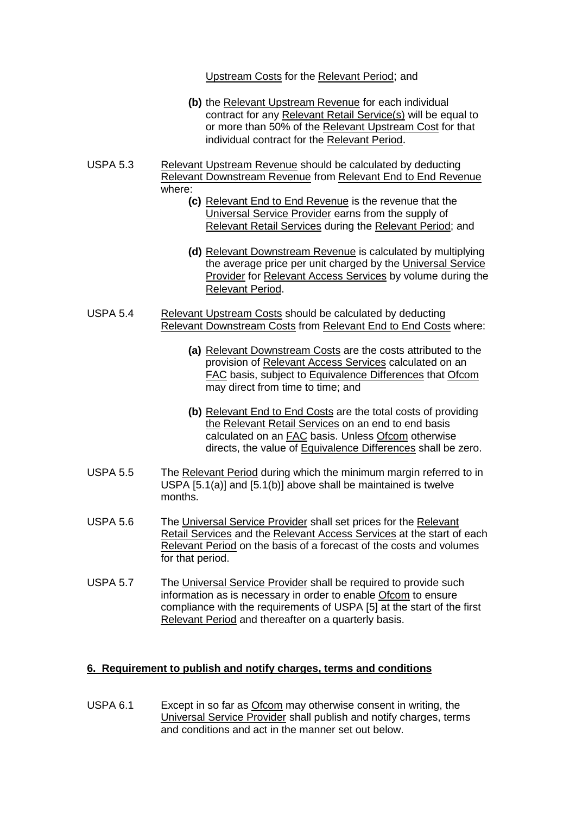Upstream Costs for the Relevant Period; and

- **(b)** the Relevant Upstream Revenue for each individual contract for any Relevant Retail Service(s) will be equal to or more than 50% of the Relevant Upstream Cost for that individual contract for the Relevant Period.
- USPA 5.3 Relevant Upstream Revenue should be calculated by deducting Relevant Downstream Revenue from Relevant End to End Revenue where:
	- **(c)** Relevant End to End Revenue is the revenue that the Universal Service Provider earns from the supply of Relevant Retail Services during the Relevant Period; and
	- **(d)** Relevant Downstream Revenue is calculated by multiplying the average price per unit charged by the Universal Service Provider for Relevant Access Services by volume during the Relevant Period.
- USPA 5.4 Relevant Upstream Costs should be calculated by deducting Relevant Downstream Costs from Relevant End to End Costs where:
	- **(a)** Relevant Downstream Costs are the costs attributed to the provision of Relevant Access Services calculated on an FAC basis, subject to Equivalence Differences that Ofcom may direct from time to time; and
	- **(b)** Relevant End to End Costs are the total costs of providing the Relevant Retail Services on an end to end basis calculated on an FAC basis. Unless Ofcom otherwise directs, the value of Equivalence Differences shall be zero.
- USPA 5.5 The Relevant Period during which the minimum margin referred to in USPA [5.1(a)] and [5.1(b)] above shall be maintained is twelve months.
- USPA 5.6 The Universal Service Provider shall set prices for the Relevant Retail Services and the Relevant Access Services at the start of each Relevant Period on the basis of a forecast of the costs and volumes for that period.
- USPA 5.7 The Universal Service Provider shall be required to provide such information as is necessary in order to enable Ofcom to ensure compliance with the requirements of USPA [5] at the start of the first Relevant Period and thereafter on a quarterly basis.

# **6. Requirement to publish and notify charges, terms and conditions**

USPA 6.1 Except in so far as Ofcom may otherwise consent in writing, the Universal Service Provider shall publish and notify charges, terms and conditions and act in the manner set out below.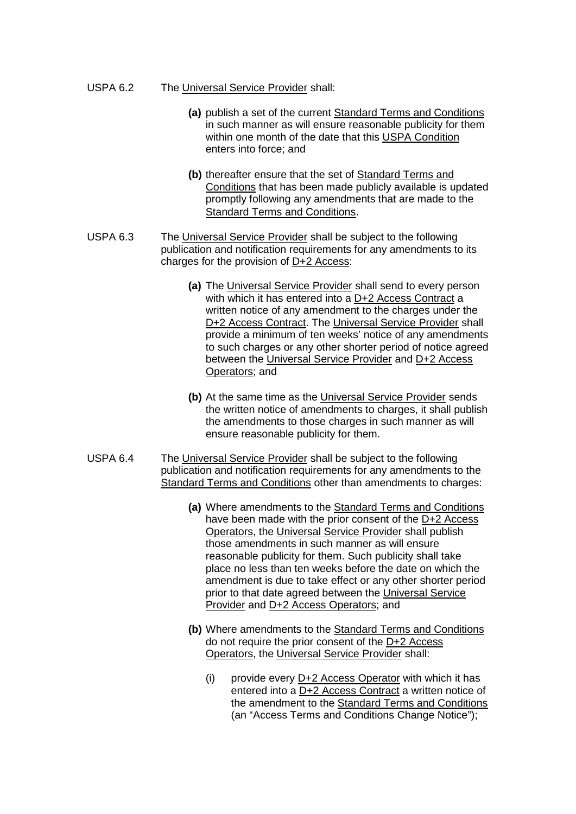#### USPA 6.2 The Universal Service Provider shall:

- **(a)** publish a set of the current Standard Terms and Conditions in such manner as will ensure reasonable publicity for them within one month of the date that this USPA Condition enters into force; and
- **(b)** thereafter ensure that the set of Standard Terms and Conditions that has been made publicly available is updated promptly following any amendments that are made to the Standard Terms and Conditions.
- USPA 6.3 The Universal Service Provider shall be subject to the following publication and notification requirements for any amendments to its charges for the provision of D+2 Access:
	- **(a)** The Universal Service Provider shall send to every person with which it has entered into a D+2 Access Contract a written notice of any amendment to the charges under the D+2 Access Contract. The Universal Service Provider shall provide a minimum of ten weeks' notice of any amendments to such charges or any other shorter period of notice agreed between the Universal Service Provider and D+2 Access Operators; and
	- **(b)** At the same time as the Universal Service Provider sends the written notice of amendments to charges, it shall publish the amendments to those charges in such manner as will ensure reasonable publicity for them.
- USPA 6.4 The Universal Service Provider shall be subject to the following publication and notification requirements for any amendments to the Standard Terms and Conditions other than amendments to charges:
	- **(a)** Where amendments to the Standard Terms and Conditions have been made with the prior consent of the D+2 Access Operators, the Universal Service Provider shall publish those amendments in such manner as will ensure reasonable publicity for them. Such publicity shall take place no less than ten weeks before the date on which the amendment is due to take effect or any other shorter period prior to that date agreed between the Universal Service Provider and D+2 Access Operators; and
	- **(b)** Where amendments to the Standard Terms and Conditions do not require the prior consent of the D+2 Access Operators, the Universal Service Provider shall:
		- (i) provide every D+2 Access Operator with which it has entered into a D+2 Access Contract a written notice of the amendment to the Standard Terms and Conditions (an "Access Terms and Conditions Change Notice");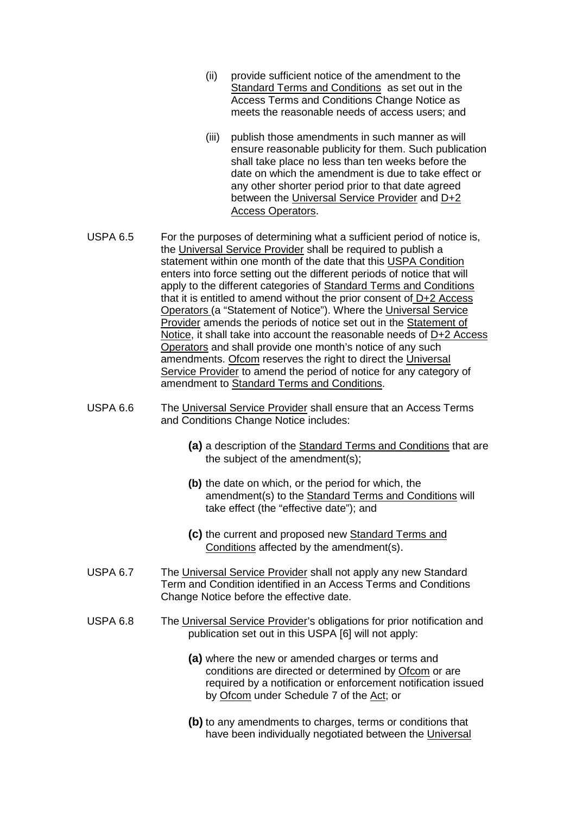- (ii) provide sufficient notice of the amendment to the Standard Terms and Conditions as set out in the Access Terms and Conditions Change Notice as meets the reasonable needs of access users; and
- (iii) publish those amendments in such manner as will ensure reasonable publicity for them. Such publication shall take place no less than ten weeks before the date on which the amendment is due to take effect or any other shorter period prior to that date agreed between the Universal Service Provider and D+2 Access Operators.
- USPA 6.5 For the purposes of determining what a sufficient period of notice is, the Universal Service Provider shall be required to publish a statement within one month of the date that this USPA Condition enters into force setting out the different periods of notice that will apply to the different categories of Standard Terms and Conditions that it is entitled to amend without the prior consent of D+2 Access Operators (a "Statement of Notice"). Where the Universal Service Provider amends the periods of notice set out in the Statement of Notice, it shall take into account the reasonable needs of D+2 Access Operators and shall provide one month's notice of any such amendments. Ofcom reserves the right to direct the Universal Service Provider to amend the period of notice for any category of amendment to Standard Terms and Conditions.
- USPA 6.6 The Universal Service Provider shall ensure that an Access Terms and Conditions Change Notice includes:
	- **(a)** a description of the Standard Terms and Conditions that are the subject of the amendment(s);
	- **(b)** the date on which, or the period for which, the amendment(s) to the Standard Terms and Conditions will take effect (the "effective date"); and
	- **(c)** the current and proposed new Standard Terms and Conditions affected by the amendment(s).
- USPA 6.7 The Universal Service Provider shall not apply any new Standard Term and Condition identified in an Access Terms and Conditions Change Notice before the effective date.
- USPA 6.8 The Universal Service Provider's obligations for prior notification and publication set out in this USPA [6] will not apply:
	- **(a)** where the new or amended charges or terms and conditions are directed or determined by Ofcom or are required by a notification or enforcement notification issued by Ofcom under Schedule 7 of the Act; or
	- **(b)** to any amendments to charges, terms or conditions that have been individually negotiated between the Universal